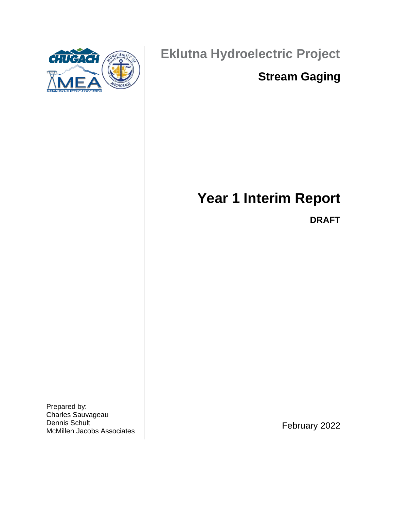

**Eklutna Hydroelectric Project**

**Stream Gaging**

# **Year 1 Interim Report**

**DRAFT**

Prepared by: Charles Sauvageau Dennis Schult McMillen Jacobs Associates

February 2022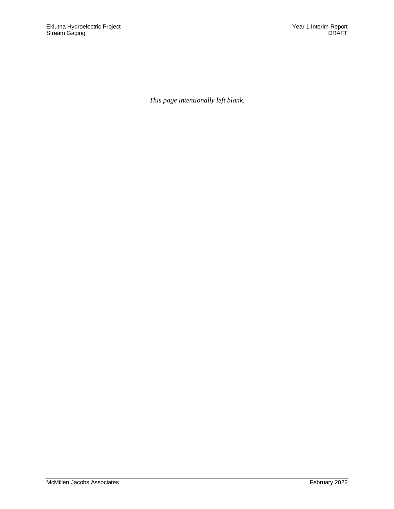*This page intentionally left blank.*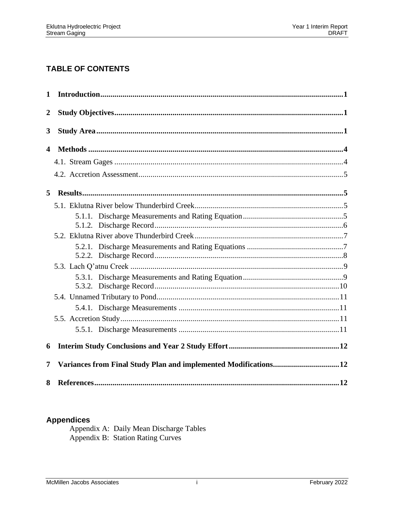## **TABLE OF CONTENTS**

| $\mathbf{1}$            |                                                                 |  |
|-------------------------|-----------------------------------------------------------------|--|
| 2                       |                                                                 |  |
| 3                       |                                                                 |  |
| $\overline{\mathbf{4}}$ |                                                                 |  |
|                         |                                                                 |  |
|                         |                                                                 |  |
| $\overline{5}$          |                                                                 |  |
|                         |                                                                 |  |
|                         |                                                                 |  |
|                         |                                                                 |  |
|                         |                                                                 |  |
|                         |                                                                 |  |
|                         |                                                                 |  |
|                         |                                                                 |  |
|                         |                                                                 |  |
|                         |                                                                 |  |
|                         |                                                                 |  |
|                         |                                                                 |  |
| 6                       |                                                                 |  |
| 7                       | Variances from Final Study Plan and implemented Modifications12 |  |
| 8                       |                                                                 |  |

#### **Appendices**

Appendix A: Daily Mean Discharge Tables Appendix B: Station Rating Curves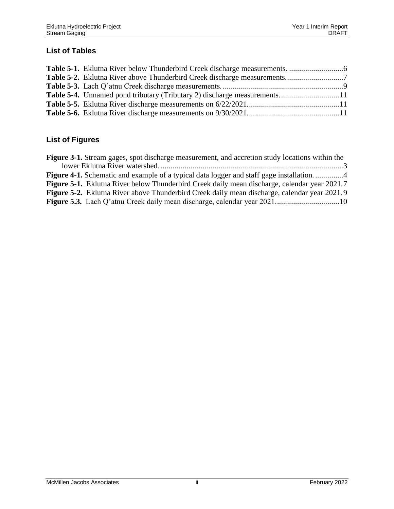## **List of Tables**

## **List of Figures**

| <b>Figure 3-1.</b> Stream gages, spot discharge measurement, and accretion study locations within the |  |
|-------------------------------------------------------------------------------------------------------|--|
|                                                                                                       |  |
| <b>Figure 4-1.</b> Schematic and example of a typical data logger and staff gage installation4        |  |
| <b>Figure 5-1.</b> Eklutna River below Thunderbird Creek daily mean discharge, calendar year 2021.7   |  |
| <b>Figure 5-2.</b> Eklutna River above Thunderbird Creek daily mean discharge, calendar year 2021.9   |  |
|                                                                                                       |  |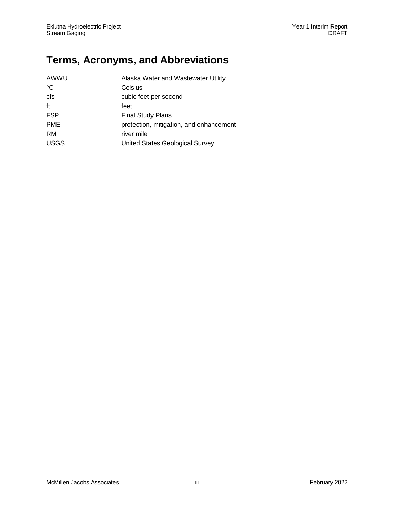## **Terms, Acronyms, and Abbreviations**

| AWWU        | Alaska Water and Wastewater Utility     |
|-------------|-----------------------------------------|
| $^{\circ}C$ | Celsius                                 |
| cfs         | cubic feet per second                   |
| ft          | feet                                    |
| <b>FSP</b>  | <b>Final Study Plans</b>                |
| <b>PME</b>  | protection, mitigation, and enhancement |
| <b>RM</b>   | river mile                              |
| <b>USGS</b> | United States Geological Survey         |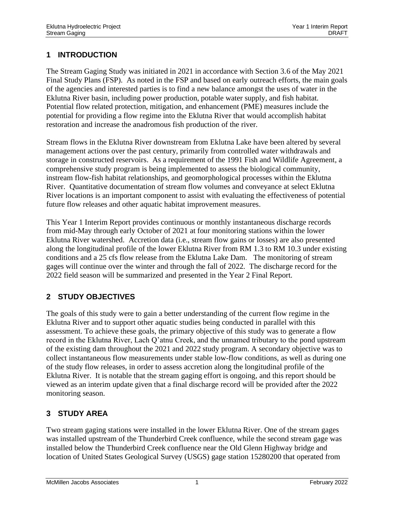## **1 INTRODUCTION**

The Stream Gaging Study was initiated in 2021 in accordance with Section 3.6 of the May 2021 Final Study Plans (FSP). As noted in the FSP and based on early outreach efforts, the main goals of the agencies and interested parties is to find a new balance amongst the uses of water in the Eklutna River basin, including power production, potable water supply, and fish habitat. Potential flow related protection, mitigation, and enhancement (PME) measures include the potential for providing a flow regime into the Eklutna River that would accomplish habitat restoration and increase the anadromous fish production of the river.

Stream flows in the Eklutna River downstream from Eklutna Lake have been altered by several management actions over the past century, primarily from controlled water withdrawals and storage in constructed reservoirs. As a requirement of the 1991 Fish and Wildlife Agreement, a comprehensive study program is being implemented to assess the biological community, instream flow-fish habitat relationships, and geomorphological processes within the Eklutna River. Quantitative documentation of stream flow volumes and conveyance at select Eklutna River locations is an important component to assist with evaluating the effectiveness of potential future flow releases and other aquatic habitat improvement measures.

This Year 1 Interim Report provides continuous or monthly instantaneous discharge records from mid-May through early October of 2021 at four monitoring stations within the lower Eklutna River watershed. Accretion data (i.e., stream flow gains or losses) are also presented along the longitudinal profile of the lower Eklutna River from RM 1.3 to RM 10.3 under existing conditions and a 25 cfs flow release from the Eklutna Lake Dam. The monitoring of stream gages will continue over the winter and through the fall of 2022. The discharge record for the 2022 field season will be summarized and presented in the Year 2 Final Report.

## **2 STUDY OBJECTIVES**

The goals of this study were to gain a better understanding of the current flow regime in the Eklutna River and to support other aquatic studies being conducted in parallel with this assessment. To achieve these goals, the primary objective of this study was to generate a flow record in the Eklutna River, Lach Q'atnu Creek, and the unnamed tributary to the pond upstream of the existing dam throughout the 2021 and 2022 study program. A secondary objective was to collect instantaneous flow measurements under stable low-flow conditions, as well as during one of the study flow releases, in order to assess accretion along the longitudinal profile of the Eklutna River. It is notable that the stream gaging effort is ongoing, and this report should be viewed as an interim update given that a final discharge record will be provided after the 2022 monitoring season.

## **3 STUDY AREA**

Two stream gaging stations were installed in the lower Eklutna River. One of the stream gages was installed upstream of the Thunderbird Creek confluence, while the second stream gage was installed below the Thunderbird Creek confluence near the Old Glenn Highway bridge and location of United States Geological Survey (USGS) gage station 15280200 that operated from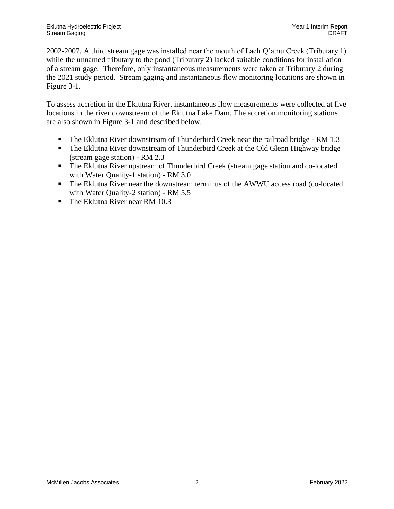2002-2007. A third stream gage was installed near the mouth of Lach Q'atnu Creek (Tributary 1) while the unnamed tributary to the pond (Tributary 2) lacked suitable conditions for installation of a stream gage. Therefore, only instantaneous measurements were taken at Tributary 2 during the 2021 study period. Stream gaging and instantaneous flow monitoring locations are shown in Figure 3-1.

To assess accretion in the Eklutna River, instantaneous flow measurements were collected at five locations in the river downstream of the Eklutna Lake Dam. The accretion monitoring stations are also shown in Figure 3-1 and described below.

- **The Eklutna River downstream of Thunderbird Creek near the railroad bridge RM 1.3**
- The Eklutna River downstream of Thunderbird Creek at the Old Glenn Highway bridge (stream gage station) - RM 2.3
- The Eklutna River upstream of Thunderbird Creek (stream gage station and co-located with Water Quality-1 station) - RM 3.0
- The Eklutna River near the downstream terminus of the AWWU access road (co-located with Water Quality-2 station) - RM 5.5
- The Eklutna River near RM 10.3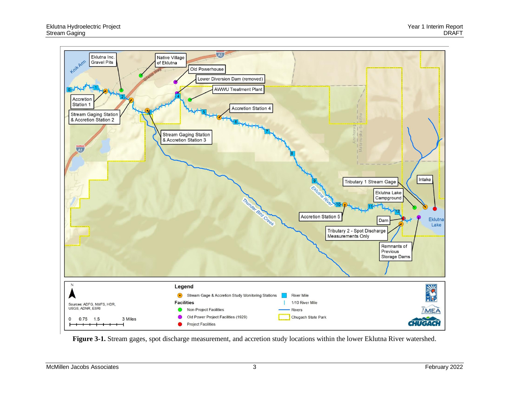

**Figure 3-1.** Stream gages, spot discharge measurement, and accretion study locations within the lower Eklutna River watershed.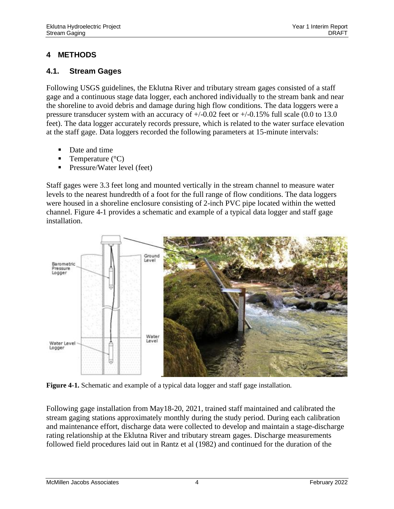## **4 METHODS**

#### **4.1. Stream Gages**

Following USGS guidelines, the Eklutna River and tributary stream gages consisted of a staff gage and a continuous stage data logger, each anchored individually to the stream bank and near the shoreline to avoid debris and damage during high flow conditions. The data loggers were a pressure transducer system with an accuracy of +/-0.02 feet or +/-0.15% full scale (0.0 to 13.0 feet). The data logger accurately records pressure, which is related to the water surface elevation at the staff gage. Data loggers recorded the following parameters at 15-minute intervals:

- Date and time
- Temperature  $(^{\circ}C)$
- Pressure/Water level (feet)

Staff gages were 3.3 feet long and mounted vertically in the stream channel to measure water levels to the nearest hundredth of a foot for the full range of flow conditions. The data loggers were housed in a shoreline enclosure consisting of 2-inch PVC pipe located within the wetted channel. Figure 4-1 provides a schematic and example of a typical data logger and staff gage installation.



**Figure 4-1.** Schematic and example of a typical data logger and staff gage installation.

Following gage installation from May18-20, 2021, trained staff maintained and calibrated the stream gaging stations approximately monthly during the study period. During each calibration and maintenance effort, discharge data were collected to develop and maintain a stage-discharge rating relationship at the Eklutna River and tributary stream gages. Discharge measurements followed field procedures laid out in Rantz et al (1982) and continued for the duration of the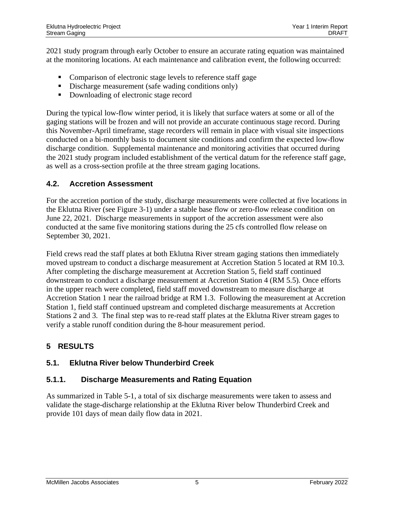2021 study program through early October to ensure an accurate rating equation was maintained at the monitoring locations. At each maintenance and calibration event, the following occurred:

- Comparison of electronic stage levels to reference staff gage
- Discharge measurement (safe wading conditions only)
- Downloading of electronic stage record

During the typical low-flow winter period, it is likely that surface waters at some or all of the gaging stations will be frozen and will not provide an accurate continuous stage record. During this November-April timeframe, stage recorders will remain in place with visual site inspections conducted on a bi-monthly basis to document site conditions and confirm the expected low-flow discharge condition. Supplemental maintenance and monitoring activities that occurred during the 2021 study program included establishment of the vertical datum for the reference staff gage, as well as a cross-section profile at the three stream gaging locations.

#### **4.2. Accretion Assessment**

For the accretion portion of the study, discharge measurements were collected at five locations in the Eklutna River (see Figure 3-1) under a stable base flow or zero-flow release condition on June 22, 2021. Discharge measurements in support of the accretion assessment were also conducted at the same five monitoring stations during the 25 cfs controlled flow release on September 30, 2021.

Field crews read the staff plates at both Eklutna River stream gaging stations then immediately moved upstream to conduct a discharge measurement at Accretion Station 5 located at RM 10.3. After completing the discharge measurement at Accretion Station 5, field staff continued downstream to conduct a discharge measurement at Accretion Station 4 (RM 5.5). Once efforts in the upper reach were completed, field staff moved downstream to measure discharge at Accretion Station 1 near the railroad bridge at RM 1.3. Following the measurement at Accretion Station 1, field staff continued upstream and completed discharge measurements at Accretion Stations 2 and 3. The final step was to re-read staff plates at the Eklutna River stream gages to verify a stable runoff condition during the 8-hour measurement period.

## **5 RESULTS**

#### **5.1. Eklutna River below Thunderbird Creek**

#### **5.1.1. Discharge Measurements and Rating Equation**

As summarized in Table 5-1, a total of six discharge measurements were taken to assess and validate the stage-discharge relationship at the Eklutna River below Thunderbird Creek and provide 101 days of mean daily flow data in 2021.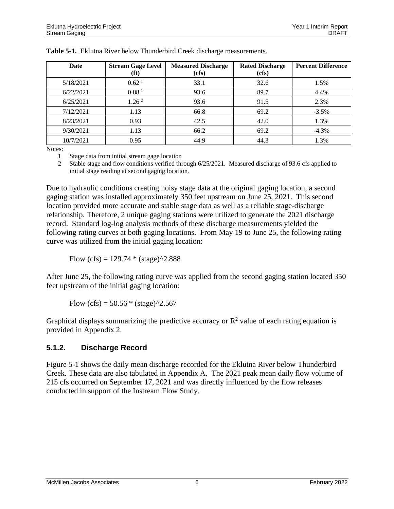| Date      | <b>Stream Gage Level</b><br>(f <sup>t</sup> ) | <b>Measured Discharge</b><br>(cfs) | <b>Rated Discharge</b><br>(cfs) | <b>Percent Difference</b> |
|-----------|-----------------------------------------------|------------------------------------|---------------------------------|---------------------------|
| 5/18/2021 | 0.62 <sup>1</sup>                             | 33.1                               | 32.6                            | 1.5%                      |
| 6/22/2021 | 0.88 <sup>1</sup>                             | 93.6                               | 89.7                            | 4.4%                      |
| 6/25/2021 | 1.26 <sup>2</sup>                             | 93.6                               | 91.5                            | 2.3%                      |
| 7/12/2021 | 1.13                                          | 66.8                               | 69.2                            | $-3.5%$                   |
| 8/23/2021 | 0.93                                          | 42.5                               | 42.0                            | 1.3%                      |
| 9/30/2021 | 1.13                                          | 66.2                               | 69.2                            | $-4.3\%$                  |
| 10/7/2021 | 0.95                                          | 44.9                               | 44.3                            | 1.3%                      |

| Table 5-1. Eklutna River below Thunderbird Creek discharge measurements. |
|--------------------------------------------------------------------------|
|--------------------------------------------------------------------------|

Notes:

1 Stage data from initial stream gage location

2 Stable stage and flow conditions verified through 6/25/2021. Measured discharge of 93.6 cfs applied to initial stage reading at second gaging location.

Due to hydraulic conditions creating noisy stage data at the original gaging location, a second gaging station was installed approximately 350 feet upstream on June 25, 2021. This second location provided more accurate and stable stage data as well as a reliable stage-discharge relationship. Therefore, 2 unique gaging stations were utilized to generate the 2021 discharge record. Standard log-log analysis methods of these discharge measurements yielded the following rating curves at both gaging locations. From May 19 to June 25, the following rating curve was utilized from the initial gaging location:

Flow  $(cfs) = 129.74 * (stage)^2.888$ 

After June 25, the following rating curve was applied from the second gaging station located 350 feet upstream of the initial gaging location:

Flow (cfs) =  $50.56 *$  (stage)^2.567

Graphical displays summarizing the predictive accuracy or  $\mathbb{R}^2$  value of each rating equation is provided in Appendix 2.

#### **5.1.2. Discharge Record**

Figure 5-1 shows the daily mean discharge recorded for the Eklutna River below Thunderbird Creek. These data are also tabulated in Appendix A. The 2021 peak mean daily flow volume of 215 cfs occurred on September 17, 2021 and was directly influenced by the flow releases conducted in support of the Instream Flow Study.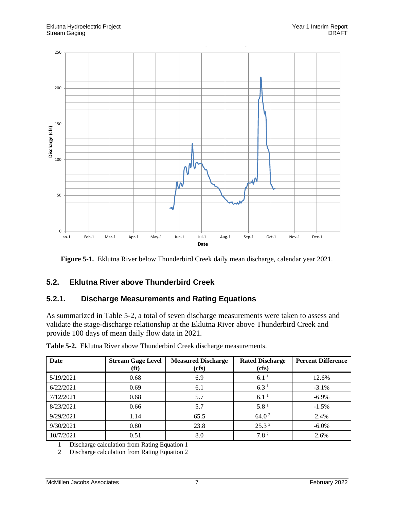

**Figure 5-1.** Eklutna River below Thunderbird Creek daily mean discharge, calendar year 2021.

#### **5.2. Eklutna River above Thunderbird Creek**

#### **5.2.1. Discharge Measurements and Rating Equations**

As summarized in Table 5-2, a total of seven discharge measurements were taken to assess and validate the stage-discharge relationship at the Eklutna River above Thunderbird Creek and provide 100 days of mean daily flow data in 2021.

| Date      | <b>Stream Gage Level</b><br>(f <sup>t</sup> ) | <b>Measured Discharge</b><br>(cfs) | <b>Rated Discharge</b><br>(cfs) | <b>Percent Difference</b> |
|-----------|-----------------------------------------------|------------------------------------|---------------------------------|---------------------------|
| 5/19/2021 | 0.68                                          | 6.9                                | 6.1 <sup>1</sup>                | 12.6%                     |
| 6/22/2021 | 0.69                                          | 6.1                                | $6.3^{\mathrm{T}}$              | $-3.1%$                   |
| 7/12/2021 | 0.68                                          | 5.7                                | 6.1 <sup>1</sup>                | $-6.9\%$                  |
| 8/23/2021 | 0.66                                          | 5.7                                | 5.8 <sup>1</sup>                | $-1.5\%$                  |
| 9/29/2021 | 1.14                                          | 65.5                               | 64.0 <sup>2</sup>               | 2.4%                      |
| 9/30/2021 | 0.80                                          | 23.8                               | 25.3 <sup>2</sup>               | $-6.0\%$                  |
| 10/7/2021 | 0.51                                          | 8.0                                | 7.8 <sup>2</sup>                | 2.6%                      |

**Table 5-2.** Eklutna River above Thunderbird Creek discharge measurements.

1 Discharge calculation from Rating Equation 1

2 Discharge calculation from Rating Equation 2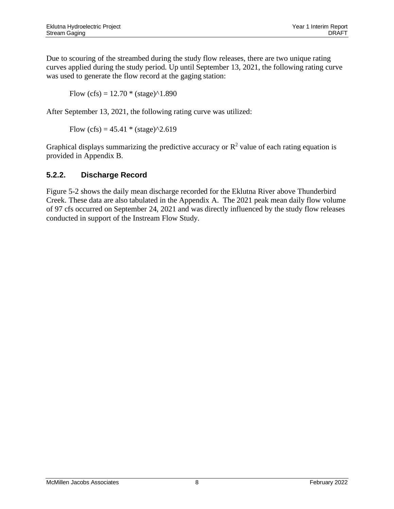Due to scouring of the streambed during the study flow releases, there are two unique rating curves applied during the study period. Up until September 13, 2021, the following rating curve was used to generate the flow record at the gaging station:

Flow (cfs) =  $12.70 * (stage)^{1.890}$ 

After September 13, 2021, the following rating curve was utilized:

Flow  $(cfs) = 45.41 * (stage)^2.619$ 

Graphical displays summarizing the predictive accuracy or  $\mathbb{R}^2$  value of each rating equation is provided in Appendix B.

#### **5.2.2. Discharge Record**

Figure 5-2 shows the daily mean discharge recorded for the Eklutna River above Thunderbird Creek. These data are also tabulated in the Appendix A. The 2021 peak mean daily flow volume of 97 cfs occurred on September 24, 2021 and was directly influenced by the study flow releases conducted in support of the Instream Flow Study.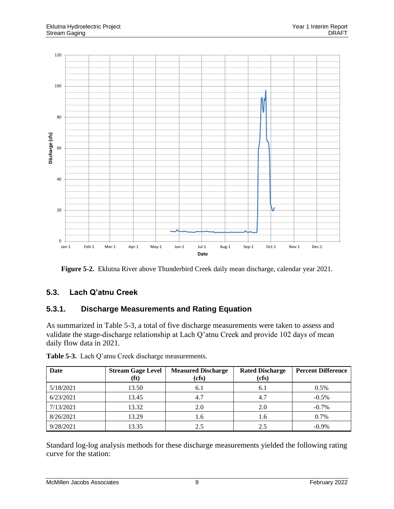

**Figure 5-2.** Eklutna River above Thunderbird Creek daily mean discharge, calendar year 2021.

#### **5.3. Lach Q'atnu Creek**

#### **5.3.1. Discharge Measurements and Rating Equation**

As summarized in Table 5-3, a total of five discharge measurements were taken to assess and validate the stage-discharge relationship at Lach Q'atnu Creek and provide 102 days of mean daily flow data in 2021.

| Date      | <b>Stream Gage Level</b><br>(ft) | <b>Measured Discharge</b><br>(cfs) | <b>Rated Discharge</b><br>(cfs) | <b>Percent Difference</b> |
|-----------|----------------------------------|------------------------------------|---------------------------------|---------------------------|
| 5/18/2021 | 13.50                            | 6.1                                | 6.1                             | $0.5\%$                   |
| 6/23/2021 | 13.45                            | 4.7                                | 4.7                             | $-0.5\%$                  |
| 7/13/2021 | 13.32                            | 2.0                                | 2.0                             | $-0.7\%$                  |
| 8/26/2021 | 13.29                            | 1.6                                | 1.6                             | $0.7\%$                   |
| 9/28/2021 | 13.35                            | 2.5                                |                                 | $-0.9\%$                  |

**Table 5-3.** Lach Q'atnu Creek discharge measurements.

Standard log-log analysis methods for these discharge measurements yielded the following rating curve for the station: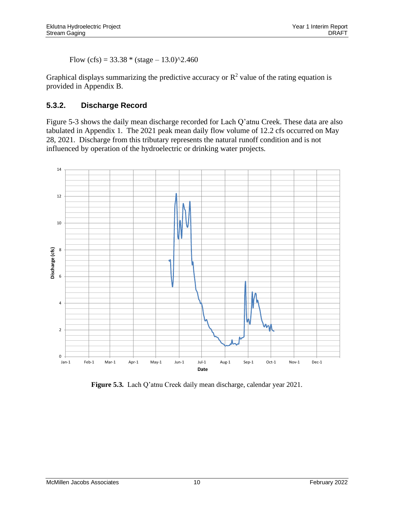Flow (cfs) =  $33.38 *$  (stage –  $13.0$ )^2.460

Graphical displays summarizing the predictive accuracy or  $\mathbb{R}^2$  value of the rating equation is provided in Appendix B.

### **5.3.2. Discharge Record**

Figure 5-3 shows the daily mean discharge recorded for Lach Q'atnu Creek. These data are also tabulated in Appendix 1. The 2021 peak mean daily flow volume of 12.2 cfs occurred on May 28, 2021. Discharge from this tributary represents the natural runoff condition and is not influenced by operation of the hydroelectric or drinking water projects.



**Figure 5.3.** Lach Q'atnu Creek daily mean discharge, calendar year 2021.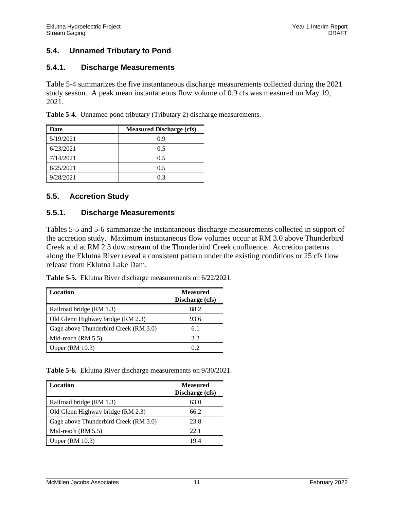#### **5.4. Unnamed Tributary to Pond**

#### **5.4.1. Discharge Measurements**

Table 5-4 summarizes the five instantaneous discharge measurements collected during the 2021 study season. A peak mean instantaneous flow volume of 0.9 cfs was measured on May 19, 2021.

**Table 5-4.** Unnamed pond tributary (Tributary 2) discharge measurements.

| Date      | <b>Measured Discharge (cfs)</b> |
|-----------|---------------------------------|
| 5/19/2021 | 0.9                             |
| 6/23/2021 | 0.5                             |
| 7/14/2021 | 0.5                             |
| 8/25/2021 | 0.5                             |
| 9/28/2021 | 0 3                             |

#### **5.5. Accretion Study**

#### **5.5.1. Discharge Measurements**

Tables 5-5 and 5-6 summarize the instantaneous discharge measurements collected in support of the accretion study. Maximum instantaneous flow volumes occur at RM 3.0 above Thunderbird Creek and at RM 2.3 downstream of the Thunderbird Creek confluence. Accretion patterns along the Eklutna River reveal a consistent pattern under the existing conditions or 25 cfs flow release from Eklutna Lake Dam.

**Table 5-5.** Eklutna River discharge measurements on 6/22/2021.

| Location                              | <b>Measured</b><br>Discharge (cfs) |
|---------------------------------------|------------------------------------|
| Railroad bridge (RM 1.3)              | 88.2                               |
| Old Glenn Highway bridge (RM 2.3)     | 93.6                               |
| Gage above Thunderbird Creek (RM 3.0) | 6.1                                |
| Mid-reach $(RM 5.5)$                  | 3.2                                |
| Upper $(RM 10.3)$                     | 02                                 |

**Table 5-6.** Eklutna River discharge measurements on 9/30/2021.

| Location                              | <b>Measured</b><br>Discharge (cfs) |
|---------------------------------------|------------------------------------|
| Railroad bridge (RM 1.3)              | 63.0                               |
| Old Glenn Highway bridge (RM 2.3)     | 66.2                               |
| Gage above Thunderbird Creek (RM 3.0) | 23.8                               |
| Mid-reach $(RM 5.5)$                  | 22.1                               |
| Upper $(RM 10.3)$                     | 194                                |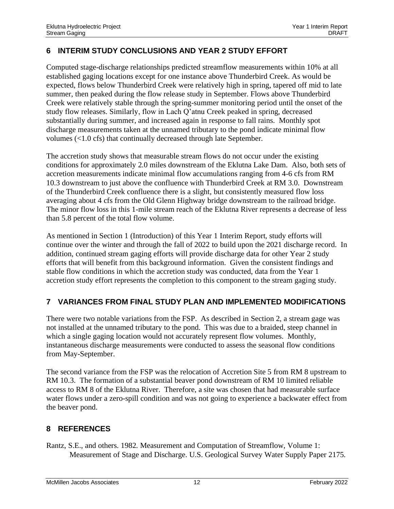### **6 INTERIM STUDY CONCLUSIONS AND YEAR 2 STUDY EFFORT**

Computed stage-discharge relationships predicted streamflow measurements within 10% at all established gaging locations except for one instance above Thunderbird Creek. As would be expected, flows below Thunderbird Creek were relatively high in spring, tapered off mid to late summer, then peaked during the flow release study in September. Flows above Thunderbird Creek were relatively stable through the spring-summer monitoring period until the onset of the study flow releases. Similarly, flow in Lach Q'atnu Creek peaked in spring, decreased substantially during summer, and increased again in response to fall rains. Monthly spot discharge measurements taken at the unnamed tributary to the pond indicate minimal flow volumes (<1.0 cfs) that continually decreased through late September.

The accretion study shows that measurable stream flows do not occur under the existing conditions for approximately 2.0 miles downstream of the Eklutna Lake Dam. Also, both sets of accretion measurements indicate minimal flow accumulations ranging from 4-6 cfs from RM 10.3 downstream to just above the confluence with Thunderbird Creek at RM 3.0. Downstream of the Thunderbird Creek confluence there is a slight, but consistently measured flow loss averaging about 4 cfs from the Old Glenn Highway bridge downstream to the railroad bridge. The minor flow loss in this 1-mile stream reach of the Eklutna River represents a decrease of less than 5.8 percent of the total flow volume.

As mentioned in Section 1 (Introduction) of this Year 1 Interim Report, study efforts will continue over the winter and through the fall of 2022 to build upon the 2021 discharge record. In addition, continued stream gaging efforts will provide discharge data for other Year 2 study efforts that will benefit from this background information. Given the consistent findings and stable flow conditions in which the accretion study was conducted, data from the Year 1 accretion study effort represents the completion to this component to the stream gaging study.

## **7 VARIANCES FROM FINAL STUDY PLAN AND IMPLEMENTED MODIFICATIONS**

There were two notable variations from the FSP. As described in Section 2, a stream gage was not installed at the unnamed tributary to the pond. This was due to a braided, steep channel in which a single gaging location would not accurately represent flow volumes. Monthly, instantaneous discharge measurements were conducted to assess the seasonal flow conditions from May-September.

The second variance from the FSP was the relocation of Accretion Site 5 from RM 8 upstream to RM 10.3. The formation of a substantial beaver pond downstream of RM 10 limited reliable access to RM 8 of the Eklutna River. Therefore, a site was chosen that had measurable surface water flows under a zero-spill condition and was not going to experience a backwater effect from the beaver pond.

## **8 REFERENCES**

Rantz, S.E., and others. 1982. Measurement and Computation of Streamflow, Volume 1: Measurement of Stage and Discharge. U.S. Geological Survey Water Supply Paper 2175.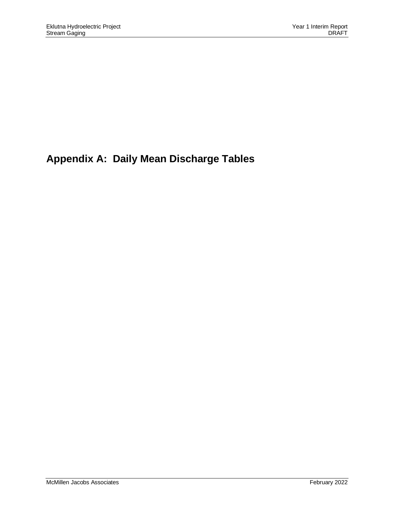## **Appendix A: Daily Mean Discharge Tables**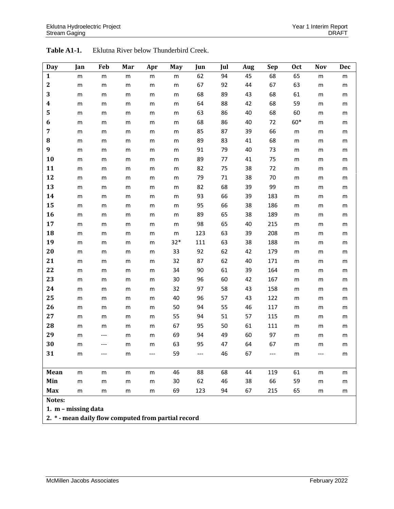| <b>Day</b>       | Jan                | Feb | Mar       | Apr | May       | Jun   | Jul | Aug | Sep   | 0ct | <b>Nov</b> | Dec |
|------------------|--------------------|-----|-----------|-----|-----------|-------|-----|-----|-------|-----|------------|-----|
| $\mathbf{1}$     | m                  | m   | m         | m   | m         | 62    | 94  | 45  | 68    | 65  | m          | m   |
| $\boldsymbol{2}$ | ${\sf m}$          | m   | m         | m   | ${\sf m}$ | 67    | 92  | 44  | 67    | 63  | m          | m   |
| 3                | m                  | m   | m         | m   | m         | 68    | 89  | 43  | 68    | 61  | m          | m   |
| 4                | m                  | m   | m         | m   | m         | 64    | 88  | 42  | 68    | 59  | m          | m   |
| 5                | m                  | m   | m         | m   | m         | 63    | 86  | 40  | 68    | 60  | m          | m   |
| 6                | m                  | m   | m         | m   | m         | 68    | 86  | 40  | 72    | 60* | m          | m   |
| 7                | m                  | m   | m         | m   | m         | 85    | 87  | 39  | 66    | m   | m          | m   |
| 8                | m                  | m   | m         | m   | m         | 89    | 83  | 41  | 68    | m   | m          | m   |
| 9                | m                  | m   | m         | m   | m         | 91    | 79  | 40  | 73    | m   | m          | m   |
| 10               | m                  | m   | m         | m   | m         | 89    | 77  | 41  | 75    | m   | m          | m   |
| 11               | m                  | m   | m         | m   | m         | 82    | 75  | 38  | 72    | m   | m          | m   |
| 12               | m                  | m   | m         | m   | m         | 79    | 71  | 38  | 70    | m   | m          | m   |
| 13               | m                  | m   | m         | m   | m         | 82    | 68  | 39  | 99    | m   | m          | m   |
| 14               | m                  | m   | m         | m   | m         | 93    | 66  | 39  | 183   | m   | m          | m   |
| 15               | m                  | m   | m         | m   | m         | 95    | 66  | 38  | 186   | m   | m          | m   |
| 16               | m                  | m   | m         | m   | m         | 89    | 65  | 38  | 189   | m   | m          | m   |
| 17               | m                  | m   | m         | m   | ${\sf m}$ | 98    | 65  | 40  | 215   | m   | m          | m   |
| 18               | m                  | m   | m         | m   | m         | 123   | 63  | 39  | 208   | m   | m          | m   |
| 19               | m                  | m   | m         | m   | $32*$     | 111   | 63  | 38  | 188   | m   | m          | m   |
| 20               | m                  | m   | m         | m   | 33        | 92    | 62  | 42  | 179   | m   | m          | m   |
| 21               | m                  | m   | m         | m   | 32        | 87    | 62  | 40  | 171   | m   | m          | m   |
| 22               | m                  | m   | m         | m   | 34        | 90    | 61  | 39  | 164   | m   | m          | m   |
| 23               | m                  | m   | m         | m   | 30        | 96    | 60  | 42  | 167   | m   | m          | m   |
| 24               | m                  | m   | m         | m   | 32        | 97    | 58  | 43  | 158   | m   | m          | m   |
| 25               | m                  | m   | m         | m   | 40        | 96    | 57  | 43  | 122   | m   | m          | m   |
| 26               | m                  | m   | m         | m   | 50        | 94    | 55  | 46  | 117   | m   | m          | m   |
| 27               | m                  | m   | m         | m   | 55        | 94    | 51  | 57  | 115   | m   | m          | m   |
| 28               | m                  | m   | m         | m   | 67        | 95    | 50  | 61  | 111   | m   | m          | m   |
| 29               | m                  | --- | m         | m   | 69        | 94    | 49  | 60  | 97    | m   | m          | m   |
| 30               | m                  |     | ${\sf m}$ | m   | 63        | 95    | 47  | 64  | 67    | m   | m          | m   |
| 31               | m                  | --- | m         |     | 59        | $---$ | 46  | 67  | $---$ | m   | ---        | m   |
|                  |                    |     |           |     |           |       |     |     |       |     |            |     |
| Mean             | m                  | m   | m         | m   | 46        | 88    | 68  | 44  | 119   | 61  | m          | m   |
| Min              | m                  | m   | m         | m   | 30        | 62    | 46  | 38  | 66    | 59  | m          | m   |
| <b>Max</b>       | m                  | m   | m         | m   | 69        | 123   | 94  | 67  | 215   | 65  | m          | m   |
| Notes:           |                    |     |           |     |           |       |     |     |       |     |            |     |
|                  | 1 m - miccino data |     |           |     |           |       |     |     |       |     |            |     |

**Table A1-1.** Eklutna River below Thunderbird Creek.

**1. m – missing data**

**2. \* - mean daily flow computed from partial record**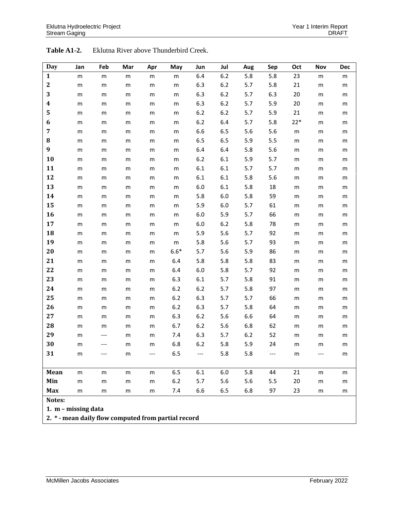| Day              | Jan       | Feb | Mar | Apr | May       | Jun     | Jul     | Aug | Sep   | Oct   | Nov       | <b>Dec</b> |
|------------------|-----------|-----|-----|-----|-----------|---------|---------|-----|-------|-------|-----------|------------|
| $\mathbf{1}$     | m         | m   | m   | m   | m         | $6.4\,$ | $6.2$   | 5.8 | 5.8   | 23    | m         | m          |
| $\boldsymbol{2}$ | m         | m   | m   | m   | ${\sf m}$ | 6.3     | $6.2$   | 5.7 | 5.8   | 21    | m         | m          |
| 3                | m         | m   | m   | m   | m         | 6.3     | $6.2$   | 5.7 | 6.3   | 20    | m         | m          |
| 4                | m         | m   | m   | m   | m         | 6.3     | $6.2$   | 5.7 | 5.9   | 20    | m         | m          |
| 5                | m         | m   | m   | m   | m         | 6.2     | 6.2     | 5.7 | 5.9   | 21    | m         | m          |
| 6                | m         | m   | m   | m   | m         | 6.2     | 6.4     | 5.7 | 5.8   | $22*$ | m         | m          |
| 7                | m         | m   | m   | m   | m         | 6.6     | 6.5     | 5.6 | 5.6   | m     | m         | m          |
| 8                | m         | m   | m   | m   | m         | 6.5     | 6.5     | 5.9 | 5.5   | m     | m         | m          |
| 9                | m         | m   | m   | m   | m         | 6.4     | 6.4     | 5.8 | 5.6   | m     | m         | m          |
| 10               | m         | m   | m   | m   | m         | 6.2     | 6.1     | 5.9 | 5.7   | m     | m         | m          |
| 11               | m         | m   | m   | m   | m         | 6.1     | 6.1     | 5.7 | 5.7   | m     | m         | m          |
| 12               | m         | m   | m   | m   | m         | 6.1     | 6.1     | 5.8 | 5.6   | m     | m         | m          |
| 13               | m         | m   | m   | m   | m         | 6.0     | 6.1     | 5.8 | 18    | m     | m         | m          |
| 14               | m         | m   | m   | m   | m         | 5.8     | 6.0     | 5.8 | 59    | m     | m         | m          |
| 15               | m         | m   | m   | m   | m         | 5.9     | 6.0     | 5.7 | 61    | m     | m         | m          |
| 16               | m         | m   | m   | m   | m         | 6.0     | 5.9     | 5.7 | 66    | m     | m         | m          |
| 17               | m         | m   | m   | m   | m         | $6.0\,$ | 6.2     | 5.8 | 78    | m     | m         | m          |
| 18               | m         | m   | m   | m   | m         | 5.9     | 5.6     | 5.7 | 92    | m     | m         | m          |
| 19               | m         | m   | m   | m   | ${\sf m}$ | 5.8     | 5.6     | 5.7 | 93    | m     | m         | m          |
| 20               | m         | m   | m   | m   | $6.6*$    | 5.7     | 5.6     | 5.9 | 86    | m     | m         | m          |
| 21               | m         | m   | m   | m   | 6.4       | 5.8     | 5.8     | 5.8 | 83    | m     | m         | m          |
| 22               | m         | m   | m   | m   | 6.4       | 6.0     | 5.8     | 5.7 | 92    | m     | m         | m          |
| 23               | m         | m   | m   | m   | 6.3       | 6.1     | 5.7     | 5.8 | 91    | m     | m         | m          |
| 24               | m         | m   | m   | m   | 6.2       | 6.2     | 5.7     | 5.8 | 97    | m     | m         | m          |
| 25               | m         | m   | m   | m   | 6.2       | 6.3     | 5.7     | 5.7 | 66    | m     | m         | m          |
| 26               | m         | m   | m   | m   | 6.2       | 6.3     | 5.7     | 5.8 | 64    | m     | m         | m          |
| 27               | m         | m   | m   | m   | 6.3       | 6.2     | 5.6     | 6.6 | 64    | m     | m         | m          |
| 28               | m         | m   | m   | m   | 6.7       | 6.2     | 5.6     | 6.8 | 62    | m     | m         | m          |
| 29               | m         | --- | m   | m   | 7.4       | 6.3     | 5.7     | 6.2 | 52    | m     | m         | m          |
| 30               | m         | --- | m   | m   | 6.8       | $6.2$   | 5.8     | 5.9 | 24    | m     | m         | m          |
| 31               | m         | --- | m   |     | 6.5       | ---     | 5.8     | 5.8 | $---$ | m     | ---       | m          |
|                  |           |     |     |     |           |         |         |     |       |       |           |            |
| Mean             | m         | m   | m   | m   | 6.5       | 6.1     | 6.0     | 5.8 | 44    | 21    | m         | m          |
| Min              | ${\sf m}$ | m   | m   | m   | $6.2$     | 5.7     | 5.6     | 5.6 | 5.5   | 20    | ${\sf m}$ | m          |
| <b>Max</b>       | m         | m   | m   | m   | 7.4       | 6.6     | $6.5\,$ | 6.8 | 97    | 23    | m         | m          |
| Notes:           |           |     |     |     |           |         |         |     |       |       |           |            |

| Table A1-2. | Eklutna River above Thunderbird Creek. |  |  |  |  |  |
|-------------|----------------------------------------|--|--|--|--|--|
|-------------|----------------------------------------|--|--|--|--|--|

**1. m – missing data**

**2. \* - mean daily flow computed from partial record**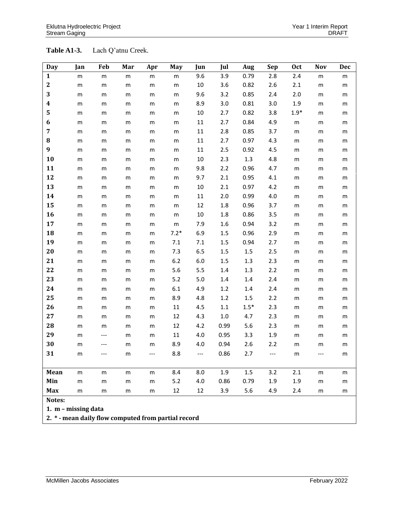| <b>Day</b>       | Jan       | Feb | Mar       | Apr | May    | Jun    | Jul     | Aug     | Sep | 0 <sub>ct</sub> | <b>Nov</b> | Dec |
|------------------|-----------|-----|-----------|-----|--------|--------|---------|---------|-----|-----------------|------------|-----|
| $\mathbf{1}$     | m         | m   | m         | m   | m      | 9.6    | 3.9     | 0.79    | 2.8 | 2.4             | m          | m   |
| $\boldsymbol{2}$ | m         | m   | m         | m   | m      | $10\,$ | 3.6     | 0.82    | 2.6 | 2.1             | m          | m   |
| 3                | m         | m   | m         | m   | m      | 9.6    | 3.2     | 0.85    | 2.4 | 2.0             | m          | m   |
| 4                | m         | m   | m         | m   | m      | 8.9    | 3.0     | 0.81    | 3.0 | 1.9             | m          | m   |
| 5                | m         | m   | m         | m   | m      | 10     | 2.7     | 0.82    | 3.8 | $1.9*$          | m          | m   |
| 6                | m         | m   | m         | m   | m      | 11     | 2.7     | 0.84    | 4.9 | m               | m          | m   |
| 7                | m         | m   | m         | m   | m      | 11     | 2.8     | 0.85    | 3.7 | m               | m          | m   |
| 8                | m         | m   | m         | m   | m      | 11     | 2.7     | 0.97    | 4.3 | m               | m          | m   |
| 9                | m         | m   | m         | m   | m      | 11     | 2.5     | 0.92    | 4.5 | m               | m          | m   |
| 10               | m         | m   | m         | m   | m      | 10     | 2.3     | 1.3     | 4.8 | m               | m          | m   |
| 11               | m         | m   | m         | m   | m      | 9.8    | 2.2     | 0.96    | 4.7 | m               | m          | m   |
| 12               | m         | m   | m         | m   | m      | 9.7    | 2.1     | 0.95    | 4.1 | m               | m          | m   |
| 13               | m         | m   | m         | m   | m      | $10\,$ | 2.1     | 0.97    | 4.2 | m               | m          | m   |
| 14               | m         | m   | m         | m   | m      | $11\,$ | 2.0     | 0.99    | 4.0 | m               | m          | m   |
| 15               | m         | m   | m         | m   | m      | 12     | 1.8     | 0.96    | 3.7 | m               | m          | m   |
| 16               | m         | m   | m         | m   | m      | 10     | 1.8     | 0.86    | 3.5 | m               | m          | m   |
| 17               | m         | m   | m         | m   | m      | 7.9    | 1.6     | 0.94    | 3.2 | m               | m          | m   |
| 18               | m         | m   | m         | m   | $7.2*$ | 6.9    | 1.5     | 0.96    | 2.9 | m               | m          | m   |
| 19               | m         | m   | m         | m   | 7.1    | 7.1    | 1.5     | 0.94    | 2.7 | m               | m          | m   |
| 20               | m         | m   | m         | m   | 7.3    | 6.5    | 1.5     | 1.5     | 2.5 | m               | m          | m   |
| 21               | m         | m   | m         | m   | 6.2    | 6.0    | 1.5     | 1.3     | 2.3 | m               | m          | m   |
| 22               | m         | m   | m         | m   | 5.6    | 5.5    | 1.4     | 1.3     | 2.2 | m               | m          | m   |
| 23               | m         | m   | m         | m   | 5.2    | 5.0    | 1.4     | 1.4     | 2.4 | m               | m          | m   |
| 24               | m         | m   | m         | m   | 6.1    | 4.9    | 1.2     | 1.4     | 2.4 | m               | m          | m   |
| 25               | m         | m   | m         | m   | 8.9    | 4.8    | 1.2     | 1.5     | 2.2 | m               | m          | m   |
| 26               | m         | m   | m         | m   | 11     | 4.5    | $1.1\,$ | $1.5*$  | 2.3 | m               | m          | m   |
| 27               | m         | m   | m         | m   | 12     | 4.3    | $1.0$   | 4.7     | 2.3 | m               | m          | m   |
| 28               | m         | m   | m         | m   | 12     | 4.2    | 0.99    | 5.6     | 2.3 | m               | m          | m   |
| 29               | m         | --- | m         | m   | $11\,$ | 4.0    | 0.95    | 3.3     | 1.9 | m               | m          | m   |
| 30               | m         |     | m         | m   | 8.9    | 4.0    | 0.94    | 2.6     | 2.2 | m               | m          | m   |
| 31               | m         |     | ${\sf m}$ |     | 8.8    | ---    | 0.86    | 2.7     | --- | m               | ---        | m   |
|                  |           |     |           |     |        |        |         |         |     |                 |            |     |
| Mean             | m         | m   | m         | m   | 8.4    | 8.0    | 1.9     | $1.5\,$ | 3.2 | 2.1             | m          | m   |
| Min              | ${\sf m}$ | m   | m         | m   | 5.2    | 4.0    | 0.86    | 0.79    | 1.9 | 1.9             | ${\sf m}$  | m   |
| <b>Max</b>       | m         | m   | m         | m   | 12     | 12     | 3.9     | 5.6     | 4.9 | 2.4             | m          | m   |
| Notes:           |           |     |           |     |        |        |         |         |     |                 |            |     |

**1. m – missing data**

**2. \* - mean daily flow computed from partial record**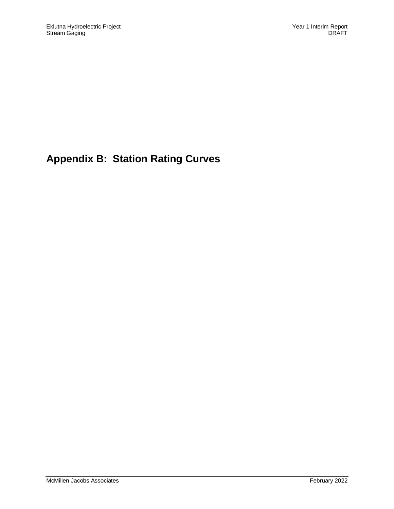## **Appendix B: Station Rating Curves**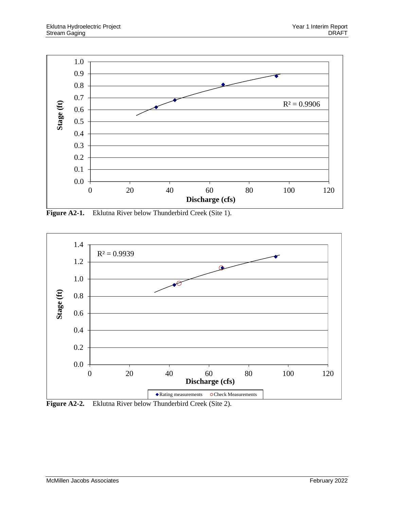

**Figure A2-1.** Eklutna River below Thunderbird Creek (Site 1).



**Figure A2-2.** Eklutna River below Thunderbird Creek (Site 2).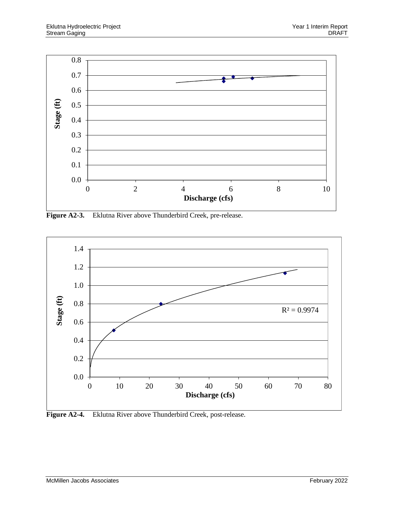

**Figure A2-3.** Eklutna River above Thunderbird Creek, pre-release.



**Figure A2-4.** Eklutna River above Thunderbird Creek, post-release.